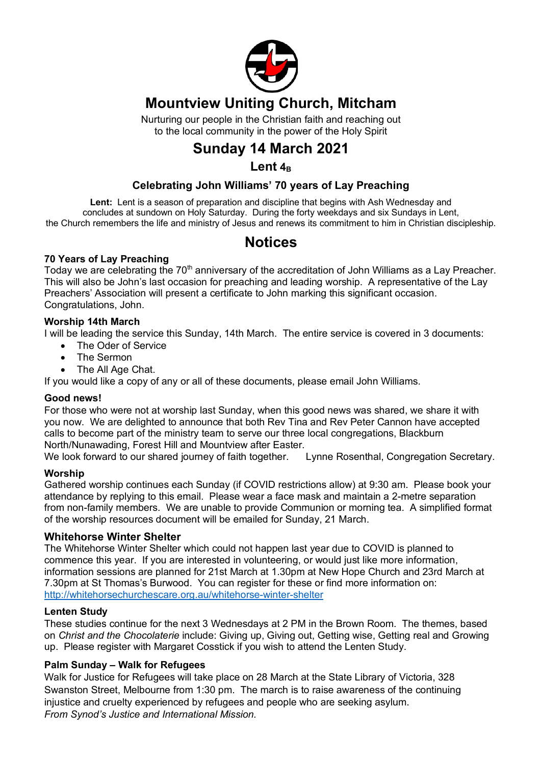

## **Mountview Uniting Church, Mitcham**

Nurturing our people in the Christian faith and reaching out to the local community in the power of the Holy Spirit

# **Sunday 14 March 2021**

## $L$ ent $4B$

## **Celebrating John Williams' 70 years of Lay Preaching**

**Lent:** Lent is a season of preparation and discipline that begins with Ash Wednesday and concludes at sundown on Holy Saturday. During the forty weekdays and six Sundays in Lent, the Church remembers the life and ministry of Jesus and renews its commitment to him in Christian discipleship.

## **Notices**

## **70 Years of Lay Preaching**

Today we are celebrating the 70<sup>th</sup> anniversary of the accreditation of John Williams as a Lay Preacher. This will also be John's last occasion for preaching and leading worship. A representative of the Lay Preachers' Association will present a certificate to John marking this significant occasion. Congratulations, John.

## **Worship 14th March**

I will be leading the service this Sunday, 14th March. The entire service is covered in 3 documents:

- The Oder of Service
- The Sermon
- The All Age Chat.

If you would like a copy of any or all of these documents, please email John Williams.

## **Good news!**

For those who were not at worship last Sunday, when this good news was shared, we share it with you now. We are delighted to announce that both Rev Tina and Rev Peter Cannon have accepted calls to become part of the ministry team to serve our three local congregations, Blackburn North/Nunawading, Forest Hill and Mountview after Easter.

We look forward to our shared journey of faith together. Lynne Rosenthal, Congregation Secretary.

## **Worship**

Gathered worship continues each Sunday (if COVID restrictions allow) at 9:30 am. Please book your attendance by replying to this email. Please wear a face mask and maintain a 2-metre separation from non-family members. We are unable to provide Communion or morning tea. A simplified format of the worship resources document will be emailed for Sunday, 21 March.

## **Whitehorse Winter Shelter**

The Whitehorse Winter Shelter which could not happen last year due to COVID is planned to commence this year. If you are interested in volunteering, or would just like more information, information sessions are planned for 21st March at 1.30pm at New Hope Church and 23rd March at 7.30pm at St Thomas's Burwood. You can register for these or find more information on: http://whitehorsechurchescare.org.au/whitehorse-winter-shelter

## **Lenten Study**

These studies continue for the next 3 Wednesdays at 2 PM in the Brown Room. The themes, based on *Christ and the Chocolaterie* include: Giving up, Giving out, Getting wise, Getting real and Growing up. Please register with Margaret Cosstick if you wish to attend the Lenten Study.

## **Palm Sunday – Walk for Refugees**

Walk for Justice for Refugees will take place on 28 March at the State Library of Victoria, 328 Swanston Street, Melbourne from 1:30 pm. The march is to raise awareness of the continuing injustice and cruelty experienced by refugees and people who are seeking asylum. *From Synod's Justice and International Mission.*